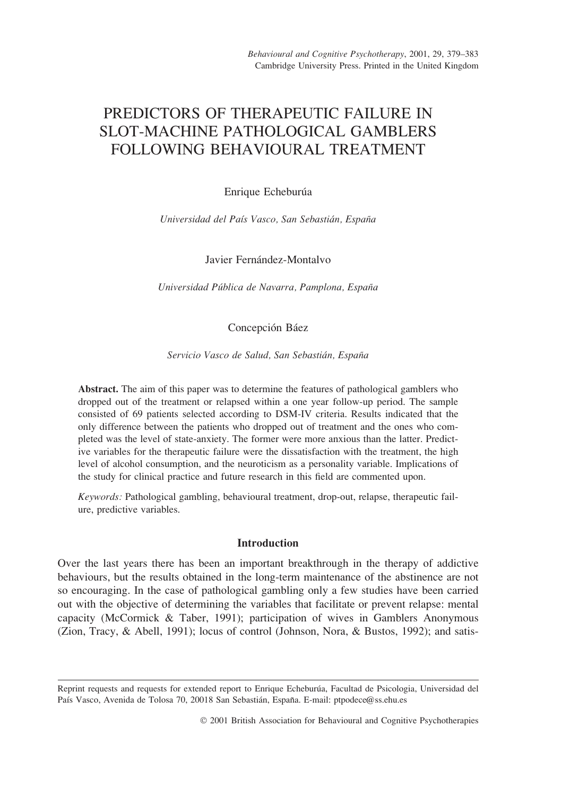# PREDICTORS OF THERAPEUTIC FAILURE IN SLOT-MACHINE PATHOLOGICAL GAMBLERS FOLLOWING BEHAVIOURAL TREATMENT

## Enrique Echeburúa

*Universidad del Paı´s Vasco, San Sebastia´n, Espan˜a*

Javier Fernández-Montalvo

*Universidad Pu´blica de Navarra, Pamplona, Espan˜a*

# Concepción Báez

*Servicio Vasco de Salud, San Sebastia´n, Espan˜a*

**Abstract.** The aim of this paper was to determine the features of pathological gamblers who dropped out of the treatment or relapsed within a one year follow-up period. The sample consisted of 69 patients selected according to DSM-IV criteria. Results indicated that the only difference between the patients who dropped out of treatment and the ones who completed was the level of state-anxiety. The former were more anxious than the latter. Predictive variables for the therapeutic failure were the dissatisfaction with the treatment, the high level of alcohol consumption, and the neuroticism as a personality variable. Implications of the study for clinical practice and future research in this field are commented upon.

*Keywords:* Pathological gambling, behavioural treatment, drop-out, relapse, therapeutic failure, predictive variables.

## **Introduction**

Over the last years there has been an important breakthrough in the therapy of addictive behaviours, but the results obtained in the long-term maintenance of the abstinence are not so encouraging. In the case of pathological gambling only a few studies have been carried out with the objective of determining the variables that facilitate or prevent relapse: mental capacity (McCormick & Taber, 1991); participation of wives in Gamblers Anonymous (Zion, Tracy, & Abell, 1991); locus of control (Johnson, Nora, & Bustos, 1992); and satis-

Reprint requests and requests for extended report to Enrique Echeburúa, Facultad de Psicologia, Universidad del País Vasco, Avenida de Tolosa 70, 20018 San Sebastián, España. E-mail: ptpodece@ss.ehu.es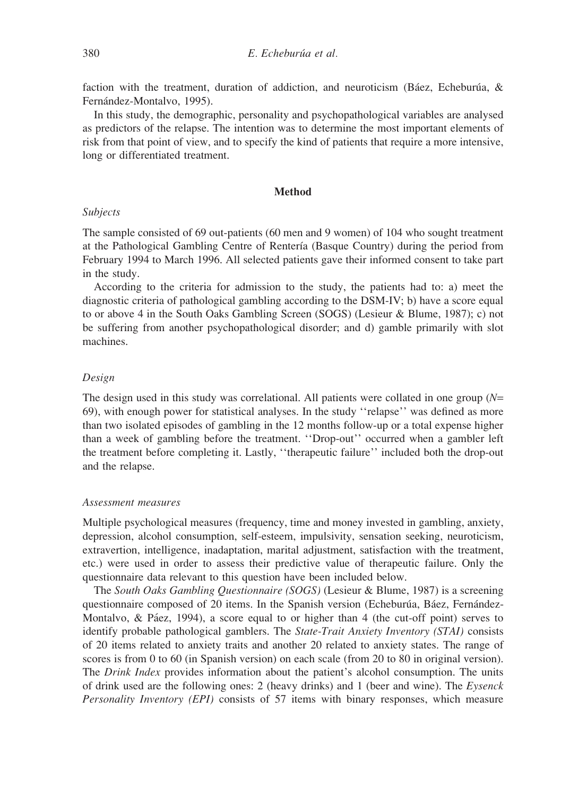faction with the treatment, duration of addiction, and neuroticism (Báez, Echeburúa,  $\&$ Fernández-Montalvo, 1995).

In this study, the demographic, personality and psychopathological variables are analysed as predictors of the relapse. The intention was to determine the most important elements of risk from that point of view, and to specify the kind of patients that require a more intensive, long or differentiated treatment.

## **Method**

### *Subjects*

The sample consisted of 69 out-patients (60 men and 9 women) of 104 who sought treatment at the Pathological Gambling Centre of Renterı´a (Basque Country) during the period from February 1994 to March 1996. All selected patients gave their informed consent to take part in the study.

According to the criteria for admission to the study, the patients had to: a) meet the diagnostic criteria of pathological gambling according to the DSM-IV; b) have a score equal to or above 4 in the South Oaks Gambling Screen (SOGS) (Lesieur & Blume, 1987); c) not be suffering from another psychopathological disorder; and d) gamble primarily with slot machines.

## *Design*

The design used in this study was correlational. All patients were collated in one group (*N*= 69), with enough power for statistical analyses. In the study ''relapse'' was defined as more than two isolated episodes of gambling in the 12 months follow-up or a total expense higher than a week of gambling before the treatment. ''Drop-out'' occurred when a gambler left the treatment before completing it. Lastly, ''therapeutic failure'' included both the drop-out and the relapse.

## *Assessment measures*

Multiple psychological measures (frequency, time and money invested in gambling, anxiety, depression, alcohol consumption, self-esteem, impulsivity, sensation seeking, neuroticism, extravertion, intelligence, inadaptation, marital adjustment, satisfaction with the treatment, etc.) were used in order to assess their predictive value of therapeutic failure. Only the questionnaire data relevant to this question have been included below.

The *South Oaks Gambling Questionnaire (SOGS)* (Lesieur & Blume, 1987) is a screening questionnaire composed of 20 items. In the Spanish version (Echeburúa, Báez, Fernández-Montalvo,  $\&$  Páez, 1994), a score equal to or higher than 4 (the cut-off point) serves to identify probable pathological gamblers. The *State-Trait Anxiety Inventory (STAI)* consists of 20 items related to anxiety traits and another 20 related to anxiety states. The range of scores is from 0 to 60 (in Spanish version) on each scale (from 20 to 80 in original version). The *Drink Index* provides information about the patient's alcohol consumption. The units of drink used are the following ones: 2 (heavy drinks) and 1 (beer and wine). The *Eysenck Personality Inventory (EPI)* consists of 57 items with binary responses, which measure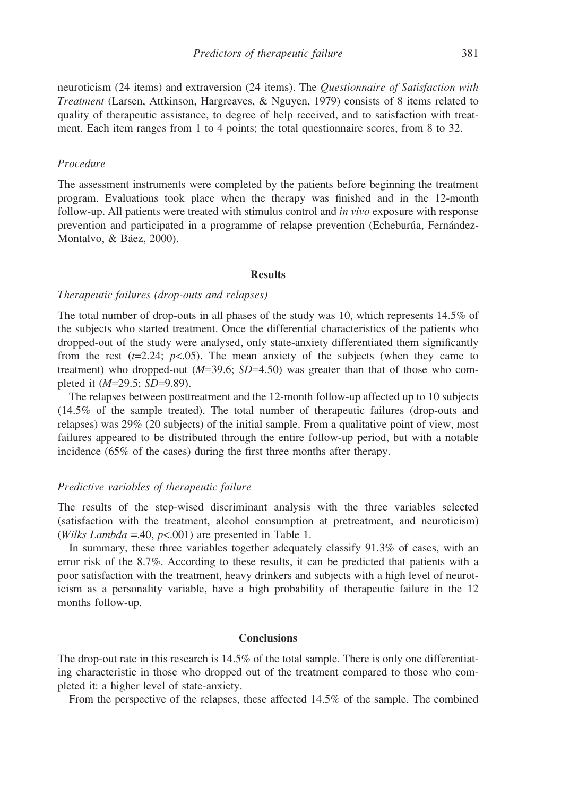neuroticism (24 items) and extraversion (24 items). The *Questionnaire of Satisfaction with Treatment* (Larsen, Attkinson, Hargreaves, & Nguyen, 1979) consists of 8 items related to quality of therapeutic assistance, to degree of help received, and to satisfaction with treatment. Each item ranges from 1 to 4 points; the total questionnaire scores, from 8 to 32.

# *Procedure*

The assessment instruments were completed by the patients before beginning the treatment program. Evaluations took place when the therapy was finished and in the 12-month follow-up. All patients were treated with stimulus control and *in vivo* exposure with response prevention and participated in a programme of relapse prevention (Echeburúa, Fernández-Montalvo, & Báez, 2000).

### **Results**

# *Therapeutic failures (drop-outs and relapses)*

The total number of drop-outs in all phases of the study was 10, which represents 14.5% of the subjects who started treatment. Once the differential characteristics of the patients who dropped-out of the study were analysed, only state-anxiety differentiated them significantly from the rest  $(t=2.24; p<0.05)$ . The mean anxiety of the subjects (when they came to treatment) who dropped-out  $(M=39.6; SD=4.50)$  was greater than that of those who completed it (*M*=29.5; *SD*=9.89).

The relapses between posttreatment and the 12-month follow-up affected up to 10 subjects (14.5% of the sample treated). The total number of therapeutic failures (drop-outs and relapses) was 29% (20 subjects) of the initial sample. From a qualitative point of view, most failures appeared to be distributed through the entire follow-up period, but with a notable incidence (65% of the cases) during the first three months after therapy.

## *Predictive variables of therapeutic failure*

The results of the step-wised discriminant analysis with the three variables selected (satisfaction with the treatment, alcohol consumption at pretreatment, and neuroticism) (*Wilks Lambda* =.40, *p*<.001) are presented in Table 1.

In summary, these three variables together adequately classify 91.3% of cases, with an error risk of the 8.7%. According to these results, it can be predicted that patients with a poor satisfaction with the treatment, heavy drinkers and subjects with a high level of neuroticism as a personality variable, have a high probability of therapeutic failure in the 12 months follow-up.

## **Conclusions**

The drop-out rate in this research is 14.5% of the total sample. There is only one differentiating characteristic in those who dropped out of the treatment compared to those who completed it: a higher level of state-anxiety.

From the perspective of the relapses, these affected 14.5% of the sample. The combined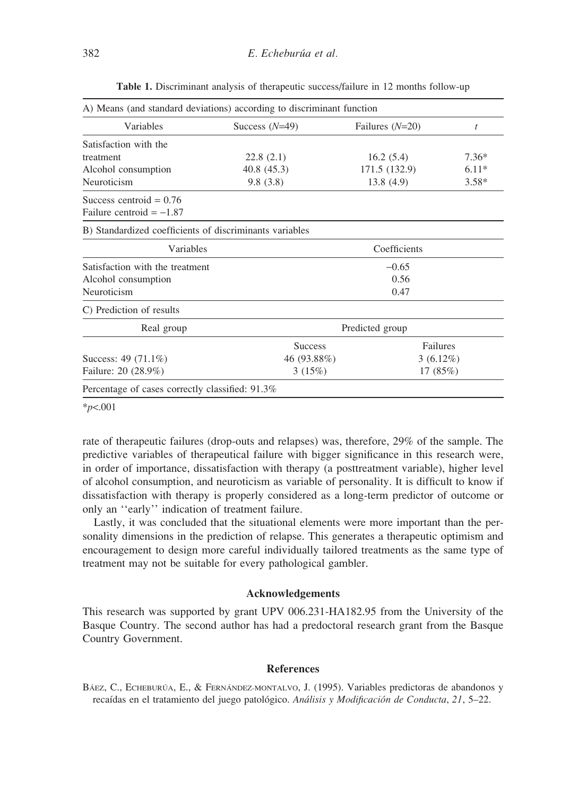| A) Means (and standard deviations) according to discriminant function |                  |                   |             |  |
|-----------------------------------------------------------------------|------------------|-------------------|-------------|--|
| Variables                                                             | Success $(N=49)$ | Failures $(N=20)$ | t           |  |
| Satisfaction with the                                                 |                  |                   |             |  |
| treatment                                                             | 22.8(2.1)        | 16.2(5.4)         | $7.36*$     |  |
| Alcohol consumption                                                   | 40.8 (45.3)      | 171.5 (132.9)     | $6.11*$     |  |
| Neuroticism                                                           | 9.8(3.8)         | 13.8(4.9)         | $3.58*$     |  |
| Success centroid $= 0.76$<br>Failure centroid $= -1.87$               |                  |                   |             |  |
| B) Standardized coefficients of discriminants variables               |                  |                   |             |  |
| Variables                                                             |                  | Coefficients      |             |  |
| Satisfaction with the treatment                                       |                  | $-0.65$           |             |  |
| Alcohol consumption                                                   | 0.56             |                   |             |  |
| Neuroticism                                                           |                  | 0.47              |             |  |
| C) Prediction of results                                              |                  |                   |             |  |
| Real group                                                            |                  | Predicted group   |             |  |
|                                                                       | <b>Success</b>   |                   | Failures    |  |
| Success: $49(71.1\%)$                                                 | 46 (93.88%)      |                   | $3(6.12\%)$ |  |
| Failure: 20 (28.9%)                                                   | 3(15%)           | 17(85%)           |             |  |
| Percentage of cases correctly classified: 91.3%                       |                  |                   |             |  |

**Table 1.** Discriminant analysis of therapeutic success/failure in 12 months follow-up

\**p*<.001

rate of therapeutic failures (drop-outs and relapses) was, therefore, 29% of the sample. The predictive variables of therapeutical failure with bigger significance in this research were, in order of importance, dissatisfaction with therapy (a posttreatment variable), higher level of alcohol consumption, and neuroticism as variable of personality. It is difficult to know if dissatisfaction with therapy is properly considered as a long-term predictor of outcome or only an ''early'' indication of treatment failure.

Lastly, it was concluded that the situational elements were more important than the personality dimensions in the prediction of relapse. This generates a therapeutic optimism and encouragement to design more careful individually tailored treatments as the same type of treatment may not be suitable for every pathological gambler.

# **Acknowledgements**

This research was supported by grant UPV 006.231-HA182.95 from the University of the Basque Country. The second author has had a predoctoral research grant from the Basque Country Government.

## **References**

BÁEZ, C., ECHEBURÚA, E., & FERNÁNDEZ-MONTALVO, J. (1995). Variables predictoras de abandonos y recaídas en el tratamiento del juego patológico. *Análisis y Modificación de Conducta*, 21, 5–22.